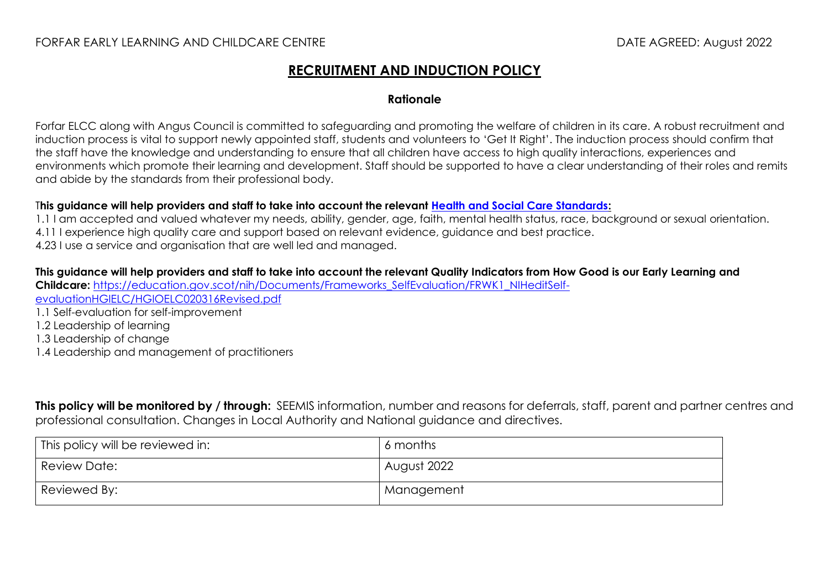### FORFAR EARLY LEARNING AND CHILDCARE CENTRE **External and the set of the contract of the DATE AGREED:** August 2022

## **RECRUITMENT AND INDUCTION POLICY**

#### **Rationale**

Forfar ELCC along with Angus Council is committed to safeguarding and promoting the welfare of children in its care. A robust recruitment and induction process is vital to support newly appointed staff, students and volunteers to 'Get It Right'. The induction process should confirm that the staff have the knowledge and understanding to ensure that all children have access to high quality interactions, experiences and environments which promote their learning and development. Staff should be supported to have a clear understanding of their roles and remits and abide by the standards from their professional body.

#### T**his guidance will help providers and staff to take into account the relevant [Health and Social Care Standards:](https://www.gov.scot/binaries/content/documents/govscot/publications/advice-and-guidance/2017/06/health-social-care-standards-support-life/documents/00520693-pdf/00520693-pdf/govscot%3Adocument/00520693.pdf)**

1.1 I am accepted and valued whatever my needs, ability, gender, age, faith, mental health status, race, background or sexual orientation. 4.11 I experience high quality care and support based on relevant evidence, guidance and best practice. 4.23 I use a service and organisation that are well led and managed.

**This guidance will help providers and staff to take into account the relevant Quality Indicators from How Good is our Early Learning and Childcare:** [https://education.gov.scot/nih/Documents/Frameworks\\_SelfEvaluation/FRWK1\\_NIHeditSelf](https://education.gov.scot/nih/Documents/Frameworks_SelfEvaluation/FRWK1_NIHeditSelf-evaluationHGIELC/HGIOELC020316Revised.pdf)[evaluationHGIELC/HGIOELC020316Revised.pdf](https://education.gov.scot/nih/Documents/Frameworks_SelfEvaluation/FRWK1_NIHeditSelf-evaluationHGIELC/HGIOELC020316Revised.pdf)

- 1.1 Self-evaluation for self-improvement
- 1.2 Leadership of learning
- 1.3 Leadership of change
- 1.4 Leadership and management of practitioners

**This policy will be monitored by / through:** SEEMIS information, number and reasons for deferrals, staff, parent and partner centres and professional consultation. Changes in Local Authority and National guidance and directives.

| This policy will be reviewed in: | 6 months    |
|----------------------------------|-------------|
| Review Date:                     | August 2022 |
| Reviewed By:                     | Management  |